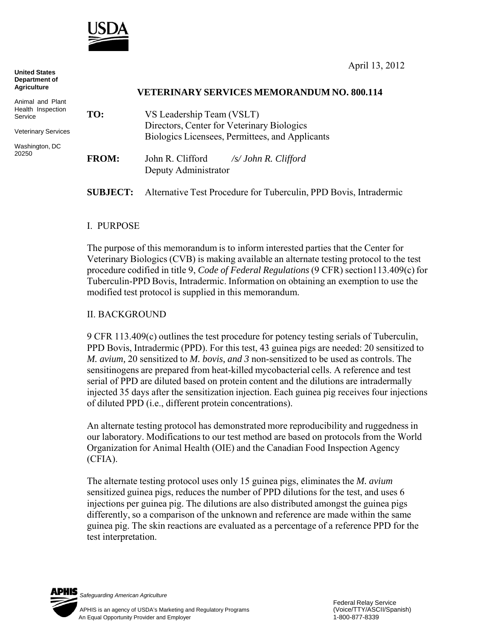

**United States Department of Agriculture** Animal and Plant Health Inspection Service **VETERINARY SERVICES MEMORANDUM NO. 800.114 TO:** VS Leadership Team (VSLT) Directors, Center for Veterinary Biologics Biologics Licensees, Permittees, and Applicants **FROM:** John R. Clifford */s/ John R. Clifford*  Deputy Administrator **SUBJECT:** Alternative Test Procedure for Tuberculin, PPD Bovis, Intradermic

## I. PURPOSE

The purpose of this memorandum is to inform interested parties that the Center for Veterinary Biologics (CVB) is making available an alternate testing protocol to the test procedure codified in title 9, *Code of Federal Regulations* (9 CFR) section113.409(c) for Tuberculin-PPD Bovis, Intradermic. Information on obtaining an exemption to use the modified test protocol is supplied in this memorandum.

### II. BACKGROUND

9 CFR 113.409(c) outlines the test procedure for potency testing serials of Tuberculin, PPD Bovis, Intradermic (PPD). For this test, 43 guinea pigs are needed: 20 sensitized to *M. avium,* 20 sensitized to *M. bovis, and 3* non-sensitized to be used as controls. The sensitinogens are prepared from heat-killed mycobacterial cells. A reference and test serial of PPD are diluted based on protein content and the dilutions are intradermally injected 35 days after the sensitization injection. Each guinea pig receives four injections of diluted PPD (i.e., different protein concentrations).

An alternate testing protocol has demonstrated more reproducibility and ruggedness in our laboratory. Modifications to our test method are based on protocols from the World Organization for Animal Health (OIE) and the Canadian Food Inspection Agency (CFIA).

The alternate testing protocol uses only 15 guinea pigs, eliminates the *M. avium*  sensitized guinea pigs, reduces the number of PPD dilutions for the test, and uses 6 injections per guinea pig. The dilutions are also distributed amongst the guinea pigs differently, so a comparison of the unknown and reference are made within the same guinea pig. The skin reactions are evaluated as a percentage of a reference PPD for the test interpretation.

PHIS

*Safeguarding American Agriculture*



Veterinary Services

Washington, DC 20250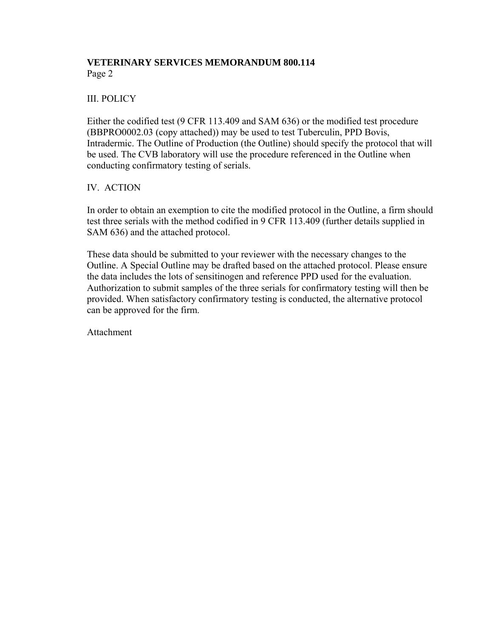# **VETERINARY SERVICES MEMORANDUM 800.114** Page 2

# III. POLICY

Either the codified test (9 CFR 113.409 and SAM 636) or the modified test procedure (BBPRO0002.03 (copy attached)) may be used to test Tuberculin, PPD Bovis, Intradermic. The Outline of Production (the Outline) should specify the protocol that will be used. The CVB laboratory will use the procedure referenced in the Outline when conducting confirmatory testing of serials.

# IV. ACTION

In order to obtain an exemption to cite the modified protocol in the Outline, a firm should test three serials with the method codified in 9 CFR 113.409 (further details supplied in SAM 636) and the attached protocol.

These data should be submitted to your reviewer with the necessary changes to the Outline. A Special Outline may be drafted based on the attached protocol. Please ensure the data includes the lots of sensitinogen and reference PPD used for the evaluation. Authorization to submit samples of the three serials for confirmatory testing will then be provided. When satisfactory confirmatory testing is conducted, the alternative protocol can be approved for the firm.

Attachment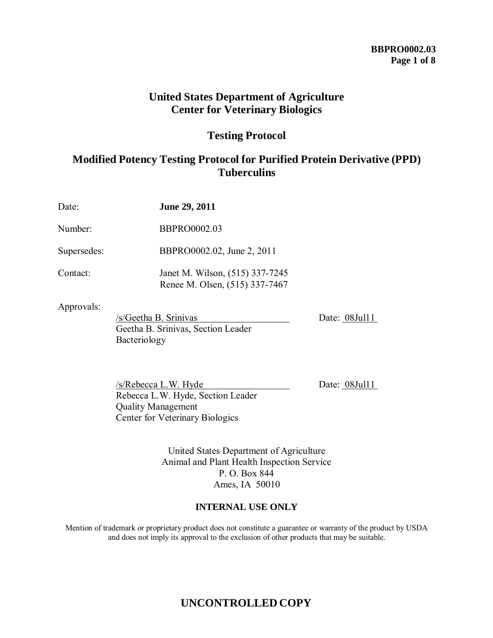# **BBPRO0002.03 Page 1 of 8**

# **United States Department of Agriculture Center for Veterinary Biologics**

# **Testing Protocol**

# **Modified Potency Testing Protocol for Purified Protein Derivative (PPD) Tuberculins**

| Date:       | June 29, 2011                                                               |               |
|-------------|-----------------------------------------------------------------------------|---------------|
| Number:     | <b>BBPRO0002.03</b>                                                         |               |
| Supersedes: | BBPRO0002.02, June 2, 2011                                                  |               |
| Contact:    | Janet M. Wilson, (515) 337-7245<br>Renee M. Olsen, (515) 337-7467           |               |
| Approvals:  | /s/Geetha B. Srinivas<br>Geetha B. Srinivas, Section Leader<br>Bacteriology | Date: 08Jul11 |

 $/s/Rebecca$  L.W. Hyde Date:  $08$ Jul11 Rebecca L.W. Hyde, Section Leader Quality Management Center for Veterinary Biologics

United States Department of Agriculture Animal and Plant Health Inspection Service P. O. Box 844 Ames, IA 50010

# **INTERNAL USE ONLY**

Mention of trademark or proprietary product does not constitute a guarantee or warranty of the product by USDA and does not imply its approval to the exclusion of other products that may be suitable.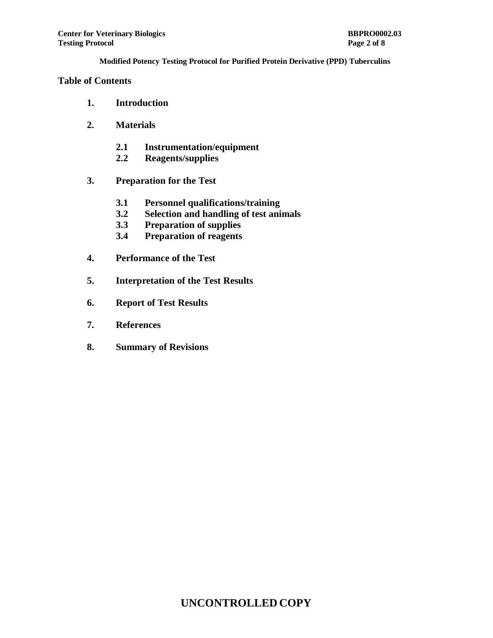### **Table of Contents**

- **1. Introduction**
- **2. Materials**
	- **2.1 Instrumentation/equipment**
	- **2.2 Reagents/supplies**
- **3. Preparation for the Test**
	- **3.1 Personnel qualifications/training**
	- **3.2 Selection and handling of test animals**
	- **3.3 Preparation of supplies**
	- **3.4 Preparation of reagents**
- **4. Performance of the Test**
- **5. Interpretation of the Test Results**
- **6. Report of Test Results**
- **7. References**
- **8. Summary of Revisions**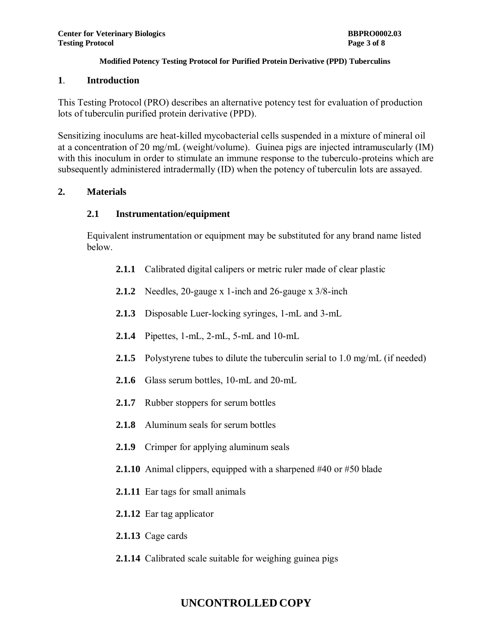### **1**. **Introduction**

This Testing Protocol (PRO) describes an alternative potency test for evaluation of production lots of tuberculin purified protein derivative (PPD).

Sensitizing inoculums are heat-killed mycobacterial cells suspended in a mixture of mineral oil at a concentration of 20 mg/mL (weight/volume). Guinea pigs are injected intramuscularly (IM) with this inoculum in order to stimulate an immune response to the tuberculo-proteins which are subsequently administered intradermally (ID) when the potency of tuberculin lots are assayed.

## **2. Materials**

## **2.1 Instrumentation/equipment**

Equivalent instrumentation or equipment may be substituted for any brand name listed below.

- **2.1.1** Calibrated digital calipers or metric ruler made of clear plastic
- **2.1.2** Needles, 20-gauge x 1-inch and 26-gauge x 3/8-inch
- **2.1.3** Disposable Luer-locking syringes, 1-mL and 3-mL
- **2.1.4** Pipettes, 1-mL, 2-mL, 5-mL and 10-mL
- **2.1.5** Polystyrene tubes to dilute the tuberculin serial to 1.0 mg/mL (if needed)
- **2.1.6** Glass serum bottles, 10-mL and 20-mL
- **2.1.7** Rubber stoppers for serum bottles
- **2.1.8** Aluminum seals for serum bottles
- **2.1.9** Crimper for applying aluminum seals
- **2.1.10** Animal clippers, equipped with a sharpened #40 or #50 blade
- **2.1.11** Ear tags for small animals
- **2.1.12** Ear tag applicator
- **2.1.13** Cage cards
- **2.1.14** Calibrated scale suitable for weighing guinea pigs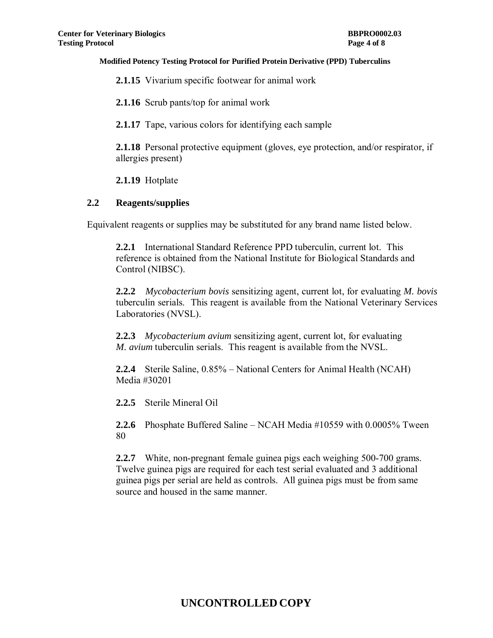**2.1.15** Vivarium specific footwear for animal work

**2.1.16** Scrub pants/top for animal work

**2.1.17** Tape, various colors for identifying each sample

**2.1.18** Personal protective equipment (gloves, eye protection, and/or respirator, if allergies present)

**2.1.19** Hotplate

#### **2.2 Reagents/supplies**

Equivalent reagents or supplies may be substituted for any brand name listed below.

**2.2.1** International Standard Reference PPD tuberculin, current lot. This reference is obtained from the National Institute for Biological Standards and Control (NIBSC).

**2.2.2** *Mycobacterium bovis* sensitizing agent, current lot, for evaluating *M. bovis*  tuberculin serials. This reagent is available from the National Veterinary Services Laboratories (NVSL).

**2.2.3** *Mycobacterium avium* sensitizing agent, current lot, for evaluating *M. avium* tuberculin serials. This reagent is available from the NVSL.

**2.2.4** Sterile Saline, 0.85% – National Centers for Animal Health (NCAH) Media #30201

**2.2.5** Sterile Mineral Oil

**2.2.6** Phosphate Buffered Saline – NCAH Media #10559 with 0.0005% Tween 80

**2.2.7** White, non-pregnant female guinea pigs each weighing 500-700 grams. Twelve guinea pigs are required for each test serial evaluated and 3 additional guinea pigs per serial are held as controls. All guinea pigs must be from same source and housed in the same manner.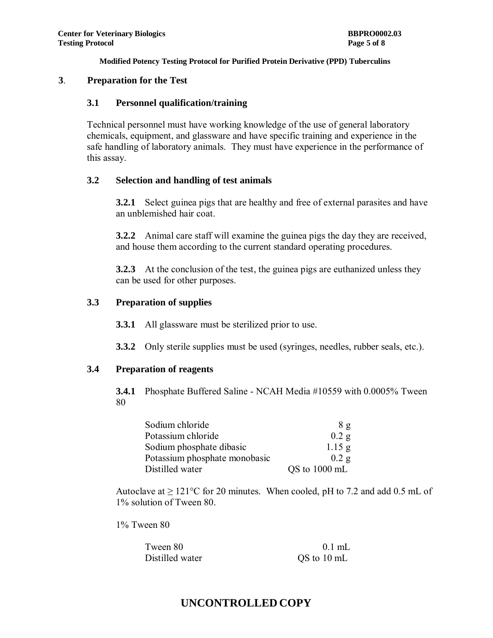### **3**. **Preparation for the Test**

### **3.1 Personnel qualification/training**

Technical personnel must have working knowledge of the use of general laboratory chemicals, equipment, and glassware and have specific training and experience in the safe handling of laboratory animals. They must have experience in the performance of this assay.

## **3.2 Selection and handling of test animals**

**3.2.1** Select guinea pigs that are healthy and free of external parasites and have an unblemished hair coat.

**3.2.2** Animal care staff will examine the guinea pigs the day they are received, and house them according to the current standard operating procedures.

**3.2.3** At the conclusion of the test, the guinea pigs are euthanized unless they can be used for other purposes.

### **3.3 Preparation of supplies**

**3.3.1** All glassware must be sterilized prior to use.

**3.3.2** Only sterile supplies must be used (syringes, needles, rubber seals, etc.).

# **3.4 Preparation of reagents**

**3.4.1** Phosphate Buffered Saline - NCAH Media #10559 with 0.0005% Tween 80

| Sodium chloride               | 8g                |
|-------------------------------|-------------------|
| Potassium chloride            | $0.2$ g           |
| Sodium phosphate dibasic      | $1.15$ g          |
| Potassium phosphate monobasic | 0.2 g             |
| Distilled water               | $QS$ to $1000$ mL |

Autoclave at  $\geq 121^{\circ}\text{C}$  for 20 minutes. When cooled, pH to 7.2 and add 0.5 mL of 1% solution of Tween 80.

1% Tween 80

| Tween 80        | $0.1$ mL    |
|-----------------|-------------|
| Distilled water | QS to 10 mL |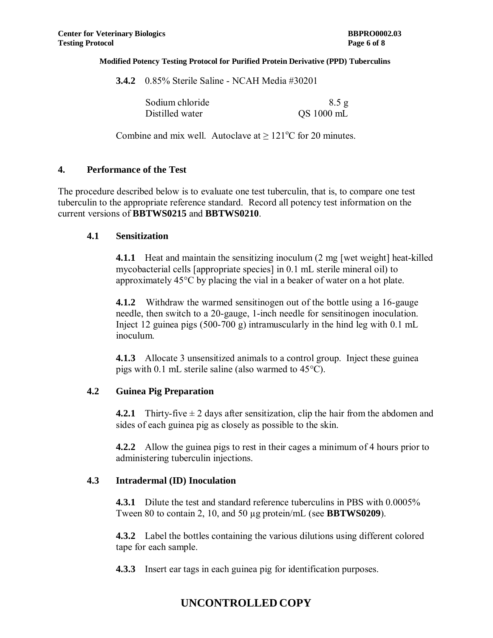**3.4.2** 0.85% Sterile Saline - NCAH Media #30201

| Sodium chloride | 8.5 g      |
|-----------------|------------|
| Distilled water | QS 1000 mL |

Combine and mix well. Autoclave at  $\geq 121^{\circ}$ C for 20 minutes.

### **4. Performance of the Test**

The procedure described below is to evaluate one test tuberculin, that is, to compare one test tuberculin to the appropriate reference standard. Record all potency test information on the current versions of **BBTWS0215** and **BBTWS0210**.

### **4.1 Sensitization**

**4.1.1** Heat and maintain the sensitizing inoculum (2 mg [wet weight] heat-killed mycobacterial cells [appropriate species] in 0.1 mL sterile mineral oil) to approximately 45°C by placing the vial in a beaker of water on a hot plate.

**4.1.2** Withdraw the warmed sensitinogen out of the bottle using a 16-gauge needle, then switch to a 20-gauge, 1-inch needle for sensitinogen inoculation. Inject 12 guinea pigs  $(500-700 \text{ g})$  intramuscularly in the hind leg with 0.1 mL inoculum.

**4.1.3** Allocate 3 unsensitized animals to a control group. Inject these guinea pigs with 0.1 mL sterile saline (also warmed to 45°C).

## **4.2 Guinea Pig Preparation**

**4.2.1** Thirty-five  $\pm 2$  days after sensitization, clip the hair from the abdomen and sides of each guinea pig as closely as possible to the skin.

**4.2.2** Allow the guinea pigs to rest in their cages a minimum of 4 hours prior to administering tuberculin injections.

# **4.3 Intradermal (ID) Inoculation**

**4.3.1** Dilute the test and standard reference tuberculins in PBS with 0.0005% Tween 80 to contain 2, 10, and 50 µg protein/mL (see **BBTWS0209**).

**4.3.2** Label the bottles containing the various dilutions using different colored tape for each sample.

**4.3.3** Insert ear tags in each guinea pig for identification purposes.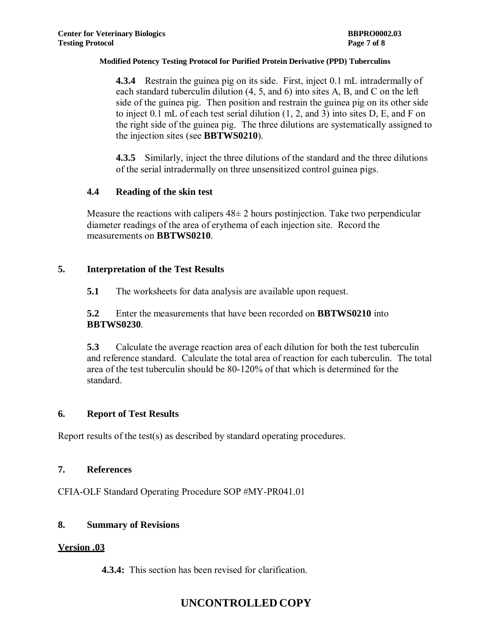**4.3.4** Restrain the guinea pig on its side. First, inject 0.1 mL intradermally of each standard tuberculin dilution (4, 5, and 6) into sites A, B, and C on the left side of the guinea pig. Then position and restrain the guinea pig on its other side to inject 0.1 mL of each test serial dilution (1, 2, and 3) into sites D, E, and F on the right side of the guinea pig. The three dilutions are systematically assigned to the injection sites (see **BBTWS0210**).

**4.3.5** Similarly, inject the three dilutions of the standard and the three dilutions of the serial intradermally on three unsensitized control guinea pigs.

# **4.4 Reading of the skin test**

Measure the reactions with calipers  $48\pm 2$  hours postinjection. Take two perpendicular diameter readings of the area of erythema of each injection site. Record the measurements on **BBTWS0210**.

### **5. Interpretation of the Test Results**

**5.1** The worksheets for data analysis are available upon request.

**5.2** Enter the measurements that have been recorded on **BBTWS0210** into **BBTWS0230**.

**5.3** Calculate the average reaction area of each dilution for both the test tuberculin and reference standard. Calculate the total area of reaction for each tuberculin. The total area of the test tuberculin should be 80-120% of that which is determined for the standard.

## **6. Report of Test Results**

Report results of the test(s) as described by standard operating procedures.

#### **7. References**

CFIA-OLF Standard Operating Procedure SOP #MY-PR041.01

#### **8. Summary of Revisions**

#### **Version .03**

**4.3.4:** This section has been revised for clarification.